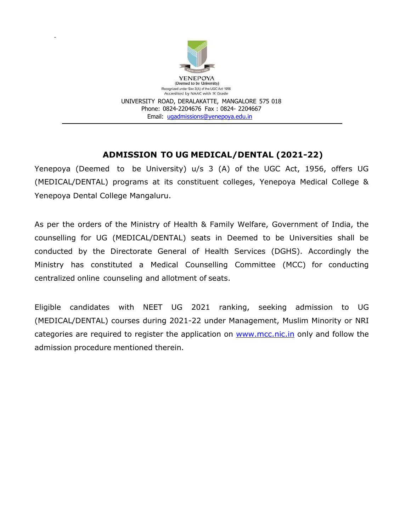

# **ADMISSION TO UG MEDICAL/DENTAL (2021-22)**

Yenepoya (Deemed to be University) u/s 3 (A) of the UGC Act, 1956, offers UG (MEDICAL/DENTAL) programs at its constituent colleges, Yenepoya Medical College & Yenepoya Dental College Mangaluru.

As per the orders of the Ministry of Health & Family Welfare, Government of India, the counselling for UG (MEDICAL/DENTAL) seats in Deemed to be Universities shall be conducted by the Directorate General of Health Services (DGHS). Accordingly the Ministry has constituted a Medical Counselling Committee (MCC) for conducting centralized online counseling and allotment of seats.

Eligible candidates with NEET UG 2021 ranking, seeking admission to UG (MEDICAL/DENTAL) courses during 2021-22 under Management, Muslim Minority or NRI categories are required to register the application on [www.mcc.nic.in](http://www.mcc.nic.in/) only and follow the admission procedure mentioned therein.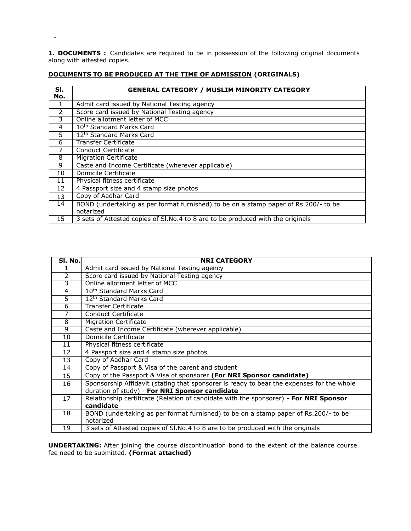**1. DOCUMENTS :** Candidates are required to be in possession of the following original documents along with attested copies.

| SI.<br>No.     | <b>GENERAL CATEGORY / MUSLIM MINORITY CATEGORY</b>                                               |
|----------------|--------------------------------------------------------------------------------------------------|
| 1              | Admit card issued by National Testing agency                                                     |
| $\mathcal{P}$  | Score card issued by National Testing agency                                                     |
| 3              | Online allotment letter of MCC                                                                   |
| $\overline{4}$ | 10 <sup>th</sup> Standard Marks Card                                                             |
| 5              | 12 <sup>th</sup> Standard Marks Card                                                             |
| 6              | Transfer Certificate                                                                             |
|                | Conduct Certificate                                                                              |
| 8              | <b>Migration Certificate</b>                                                                     |
| 9              | Caste and Income Certificate (wherever applicable)                                               |
| 10             | Domicile Certificate                                                                             |
| 11             | Physical fitness certificate                                                                     |
| 12             | 4 Passport size and 4 stamp size photos                                                          |
| 13             | Copy of Aadhar Card                                                                              |
| 14             | BOND (undertaking as per format furnished) to be on a stamp paper of Rs.200/- to be<br>notarized |
| 15             | 3 sets of Attested copies of SI.No.4 to 8 are to be produced with the originals                  |

# **DOCUMENTS TO BE PRODUCED AT THE TIME OF ADMISSION (ORIGINALS)**

 $\sim$ 

| SI. No.        | <b>NRI CATEGORY</b>                                                                       |
|----------------|-------------------------------------------------------------------------------------------|
| 1              | Admit card issued by National Testing agency                                              |
| $\overline{2}$ | Score card issued by National Testing agency                                              |
| З              | Online allotment letter of MCC                                                            |
| $\overline{4}$ | 10 <sup>th</sup> Standard Marks Card                                                      |
| $\overline{5}$ | 12 <sup>th</sup> Standard Marks Card                                                      |
| $\overline{6}$ | <b>Transfer Certificate</b>                                                               |
| 7              | Conduct Certificate                                                                       |
| 8              | <b>Migration Certificate</b>                                                              |
| 9              | Caste and Income Certificate (wherever applicable)                                        |
| 10             | Domicile Certificate                                                                      |
| 11             | Physical fitness certificate                                                              |
| 12             | 4 Passport size and 4 stamp size photos                                                   |
| 13             | Copy of Aadhar Card                                                                       |
| 14             | Copy of Passport & Visa of the parent and student                                         |
| 15             | Copy of the Passport & Visa of sponsorer (For NRI Sponsor candidate)                      |
| 16             | Sponsorship Affidavit (stating that sponsorer is ready to bear the expenses for the whole |
|                | duration of study) - For NRI Sponsor candidate                                            |
| 17             | Relationship certificate (Relation of candidate with the sponsorer) - For NRI Sponsor     |
|                | candidate                                                                                 |
| 18             | BOND (undertaking as per format furnished) to be on a stamp paper of Rs.200/- to be       |
|                | notarized                                                                                 |
| 19             | 3 sets of Attested copies of SI. No. 4 to 8 are to be produced with the originals         |

**UNDERTAKING:** After joining the course discontinuation bond to the extent of the balance course fee need to be submitted. **(Format attached)**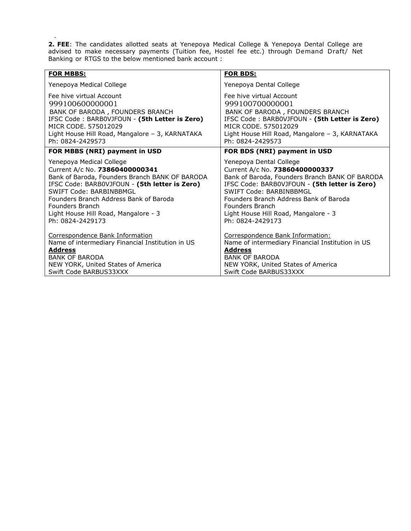**2. FEE**: The candidates allotted seats at Yenepoya Medical College & Yenepoya Dental College are advised to make necessary payments (Tuition fee, Hostel fee etc.) through Demand Draft/ Net Banking or RTGS to the below mentioned bank account :

| <b>FOR MBBS:</b>                                 | <u>FOR BDS:</u>                                  |
|--------------------------------------------------|--------------------------------------------------|
| Yenepoya Medical College                         | Yenepoya Dental College                          |
| Fee hive virtual Account                         | Fee hive virtual Account                         |
| 999100600000001                                  | 999100700000001                                  |
| BANK OF BARODA, FOUNDERS BRANCH                  | BANK OF BARODA, FOUNDERS BRANCH                  |
| IFSC Code: BARB0VJFOUN - (5th Letter is Zero)    | IFSC Code: BARBOVJFOUN - (5th Letter is Zero)    |
| MICR CODE, 575012029                             | MICR CODE, 575012029                             |
| Light House Hill Road, Mangalore - 3, KARNATAKA  | Light House Hill Road, Mangalore - 3, KARNATAKA  |
| Ph: 0824-2429573                                 | Ph: 0824-2429573                                 |
| FOR MBBS (NRI) payment in USD                    | FOR BDS (NRI) payment in USD                     |
| Yenepoya Medical College                         | Yenepoya Dental College                          |
| Current A/c No. 73860400000341                   | Current A/c No. 73860400000337                   |
| Bank of Baroda, Founders Branch BANK OF BARODA   | Bank of Baroda, Founders Branch BANK OF BARODA   |
| IFSC Code: BARBOVJFOUN - (5th letter is Zero)    | IFSC Code: BARBOVJFOUN - (5th letter is Zero)    |
| SWIFT Code: BARBINBBMGL                          | SWIFT Code: BARBINBBMGL                          |
| Founders Branch Address Bank of Baroda           | Founders Branch Address Bank of Baroda           |
| Founders Branch                                  | Founders Branch                                  |
| Light House Hill Road, Mangalore - 3             | Light House Hill Road, Mangalore - 3             |
| Ph: 0824-2429173                                 | Ph: 0824-2429173                                 |
| Correspondence Bank Information                  | Correspondence Bank Information:                 |
| Name of intermediary Financial Institution in US | Name of intermediary Financial Institution in US |
| <b>Address</b>                                   | <b>Address</b>                                   |
| <b>BANK OF BARODA</b>                            | <b>BANK OF BARODA</b>                            |
| NEW YORK, United States of America               | NEW YORK, United States of America               |
| Swift Code BARBUS33XXX                           | Swift Code BARBUS33XXX                           |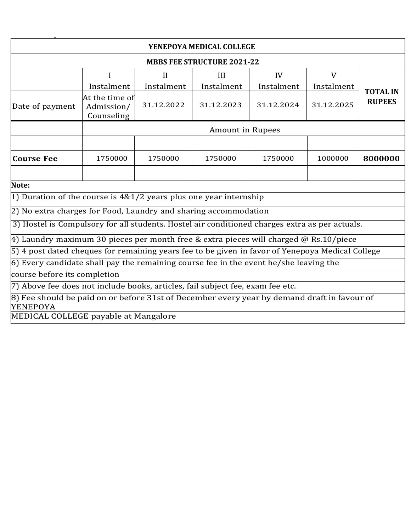| YENEPOYA MEDICAL COLLEGE                                                                                       |                                            |            |                  |            |            |                 |
|----------------------------------------------------------------------------------------------------------------|--------------------------------------------|------------|------------------|------------|------------|-----------------|
|                                                                                                                | <b>MBBS FEE STRUCTURE 2021-22</b>          |            |                  |            |            |                 |
|                                                                                                                | $\overline{V}$<br>II<br>IV<br>III          |            |                  |            |            |                 |
|                                                                                                                | Instalment                                 | Instalment | Instalment       | Instalment | Instalment | <b>TOTAL IN</b> |
| Date of payment                                                                                                | At the time of<br>Admission/<br>Counseling | 31.12.2022 | 31.12.2023       | 31.12.2024 | 31.12.2025 | <b>RUPEES</b>   |
|                                                                                                                |                                            |            | Amount in Rupees |            |            |                 |
| <b>Course Fee</b>                                                                                              | 1750000                                    | 1750000    | 1750000          | 1750000    | 1000000    | 8000000         |
|                                                                                                                |                                            |            |                  |            |            |                 |
| Note:                                                                                                          |                                            |            |                  |            |            |                 |
| 1) Duration of the course is $4&1/2$ years plus one year internship                                            |                                            |            |                  |            |            |                 |
| 2) No extra charges for Food, Laundry and sharing accommodation                                                |                                            |            |                  |            |            |                 |
| 3) Hostel is Compulsory for all students. Hostel air conditioned charges extra as per actuals.                 |                                            |            |                  |            |            |                 |
| 4) Laundry maximum 30 pieces per month free & extra pieces will charged @ Rs.10/piece                          |                                            |            |                  |            |            |                 |
| 5) 4 post dated cheques for remaining years fee to be given in favor of Yenepoya Medical College               |                                            |            |                  |            |            |                 |
| $\vert$ 6) Every candidate shall pay the remaining course fee in the event he/she leaving the                  |                                            |            |                  |            |            |                 |
| course before its completion                                                                                   |                                            |            |                  |            |            |                 |
| 7) Above fee does not include books, articles, fail subject fee, exam fee etc.                                 |                                            |            |                  |            |            |                 |
| 8) Fee should be paid on or before 31st of December every year by demand draft in favour of<br><b>YENEPOYA</b> |                                            |            |                  |            |            |                 |

MEDICAL COLLEGE payable at Mangalore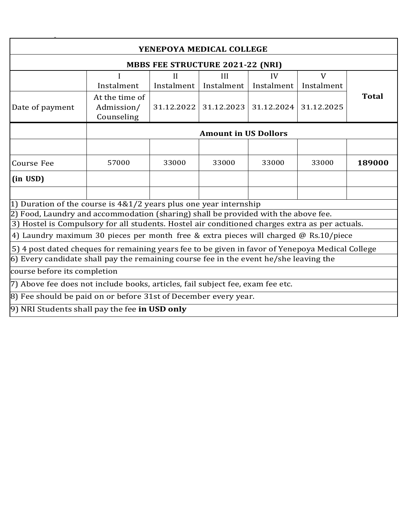| YENEPOYA MEDICAL COLLEGE                                                                         |                                                                                       |              |                             |            |            |              |
|--------------------------------------------------------------------------------------------------|---------------------------------------------------------------------------------------|--------------|-----------------------------|------------|------------|--------------|
|                                                                                                  | <b>MBBS FEE STRUCTURE 2021-22 (NRI)</b>                                               |              |                             |            |            |              |
|                                                                                                  |                                                                                       | $\mathbf{I}$ | III                         | IV         | V          |              |
|                                                                                                  | Instalment                                                                            | Instalment   | Instalment                  | Instalment | Instalment |              |
| Date of payment                                                                                  | At the time of<br>Admission/<br>Counseling                                            | 31.12.2022   | 31.12.2023                  | 31.12.2024 | 31.12.2025 | <b>Total</b> |
|                                                                                                  |                                                                                       |              | <b>Amount in US Dollors</b> |            |            |              |
|                                                                                                  |                                                                                       |              |                             |            |            |              |
| <b>Course Fee</b>                                                                                | 57000                                                                                 | 33000        | 33000                       | 33000      | 33000      | 189000       |
| (in USD)                                                                                         |                                                                                       |              |                             |            |            |              |
|                                                                                                  |                                                                                       |              |                             |            |            |              |
|                                                                                                  | 1) Duration of the course is $4&1/2$ years plus one year internship                   |              |                             |            |            |              |
| 2) Food, Laundry and accommodation (sharing) shall be provided with the above fee.               |                                                                                       |              |                             |            |            |              |
| 3) Hostel is Compulsory for all students. Hostel air conditioned charges extra as per actuals.   |                                                                                       |              |                             |            |            |              |
|                                                                                                  | 4) Laundry maximum 30 pieces per month free & extra pieces will charged @ Rs.10/piece |              |                             |            |            |              |
| 5) 4 post dated cheques for remaining years fee to be given in favor of Yenepoya Medical College |                                                                                       |              |                             |            |            |              |
| $\vert$ 6) Every candidate shall pay the remaining course fee in the event he/she leaving the    |                                                                                       |              |                             |            |            |              |
| course before its completion                                                                     |                                                                                       |              |                             |            |            |              |
| 7) Above fee does not include books, articles, fail subject fee, exam fee etc.                   |                                                                                       |              |                             |            |            |              |
|                                                                                                  | 8) Fee should be paid on or before 31st of December every year.                       |              |                             |            |            |              |
| 9) NRI Students shall pay the fee in USD only                                                    |                                                                                       |              |                             |            |            |              |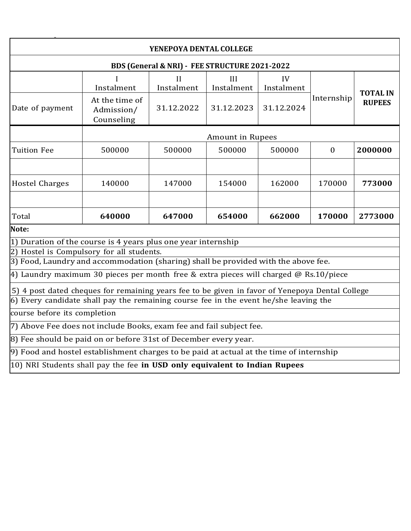| YENEPOYA DENTAL COLLEGE                                                                                                                                                                  |                                                                                       |                 |                         |                  |              |                 |
|------------------------------------------------------------------------------------------------------------------------------------------------------------------------------------------|---------------------------------------------------------------------------------------|-----------------|-------------------------|------------------|--------------|-----------------|
| BDS (General & NRI) - FEE STRUCTURE 2021-2022                                                                                                                                            |                                                                                       |                 |                         |                  |              |                 |
|                                                                                                                                                                                          | Instalment                                                                            | Н<br>Instalment | III<br>Instalment       | IV<br>Instalment |              | <b>TOTAL IN</b> |
| Date of payment                                                                                                                                                                          | At the time of<br>Admission/<br>Counseling                                            | 31.12.2022      | 31.12.2023              | 31.12.2024       | Internship   | <b>RUPEES</b>   |
|                                                                                                                                                                                          |                                                                                       |                 | <b>Amount in Rupees</b> |                  |              |                 |
| <b>Tuition Fee</b>                                                                                                                                                                       | 500000                                                                                | 500000          | 500000                  | 500000           | $\mathbf{0}$ | 2000000         |
|                                                                                                                                                                                          |                                                                                       |                 |                         |                  |              |                 |
| <b>Hostel Charges</b>                                                                                                                                                                    | 140000                                                                                | 147000          | 154000                  | 162000           | 170000       | 773000          |
|                                                                                                                                                                                          |                                                                                       |                 |                         |                  |              |                 |
| Total                                                                                                                                                                                    | 640000                                                                                | 647000          | 654000                  | 662000           | 170000       | 2773000         |
| Note:                                                                                                                                                                                    |                                                                                       |                 |                         |                  |              |                 |
| 1) Duration of the course is 4 years plus one year internship                                                                                                                            |                                                                                       |                 |                         |                  |              |                 |
| 2) Hostel is Compulsory for all students.<br>3) Food, Laundry and accommodation (sharing) shall be provided with the above fee.                                                          |                                                                                       |                 |                         |                  |              |                 |
|                                                                                                                                                                                          | 4) Laundry maximum 30 pieces per month free & extra pieces will charged @ Rs.10/piece |                 |                         |                  |              |                 |
|                                                                                                                                                                                          |                                                                                       |                 |                         |                  |              |                 |
| 5) 4 post dated cheques for remaining years fee to be given in favor of Yenepoya Dental College<br>6) Every candidate shall pay the remaining course fee in the event he/she leaving the |                                                                                       |                 |                         |                  |              |                 |
| course before its completion                                                                                                                                                             |                                                                                       |                 |                         |                  |              |                 |
| 7) Above Fee does not include Books, exam fee and fail subject fee.                                                                                                                      |                                                                                       |                 |                         |                  |              |                 |
|                                                                                                                                                                                          |                                                                                       |                 |                         |                  |              |                 |
| 8) Fee should be paid on or before 31st of December every year.<br>9) Food and hostel establishment charges to be paid at actual at the time of internship                               |                                                                                       |                 |                         |                  |              |                 |
|                                                                                                                                                                                          |                                                                                       |                 |                         |                  |              |                 |
| 10) NRI Students shall pay the fee in USD only equivalent to Indian Rupees                                                                                                               |                                                                                       |                 |                         |                  |              |                 |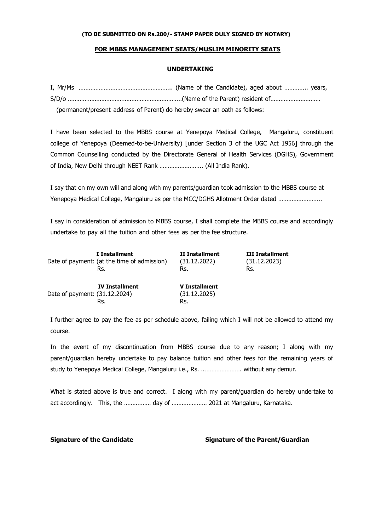# **FOR MBBS MANAGEMENT SEATS/MUSLIM MINORITY SEATS**

#### **UNDERTAKING**

| (permanent/present address of Parent) do hereby swear an oath as follows: |
|---------------------------------------------------------------------------|

I have been selected to the MBBS course at Yenepoya Medical College, Mangaluru, constituent college of Yenepoya (Deemed-to-be-University) [under Section 3 of the UGC Act 1956] through the Common Counselling conducted by the Directorate General of Health Services (DGHS), Government of India, New Delhi through NEET Rank …………………….. (All India Rank).

I say that on my own will and along with my parents/guardian took admission to the MBBS course at Yenepoya Medical College, Mangaluru as per the MCC/DGHS Allotment Order dated ……………………..

I say in consideration of admission to MBBS course, I shall complete the MBBS course and accordingly undertake to pay all the tuition and other fees as per the fee structure.

|                               | I Installment                               | II Installment                       | <b>III Installment</b> |
|-------------------------------|---------------------------------------------|--------------------------------------|------------------------|
|                               | Date of payment: (at the time of admission) | (31.12.2022)                         | (31.12.2023)           |
|                               | Rs.                                         | Rs.                                  | Rs.                    |
| Date of payment: (31.12.2024) | <b>IV Installment</b>                       | <b>V</b> Installment<br>(31.12.2025) |                        |

Rs. Rs.

I further agree to pay the fee as per schedule above, failing which I will not be allowed to attend my course.

In the event of my discontinuation from MBBS course due to any reason; I along with my parent/guardian hereby undertake to pay balance tuition and other fees for the remaining years of study to Yenepoya Medical College, Mangaluru i.e., Rs. ..…………………. without any demur.

What is stated above is true and correct. I along with my parent/guardian do hereby undertake to act accordingly. This, the ……….…… day of ………………… 2021 at Mangaluru, Karnataka.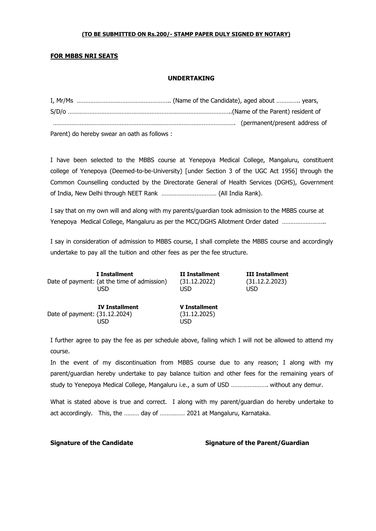## **FOR MBBS NRI SEATS**

### **UNDERTAKING**

| Parent) do hereby swear an oath as follows : |  |
|----------------------------------------------|--|

I have been selected to the MBBS course at Yenepoya Medical College, Mangaluru, constituent college of Yenepoya (Deemed-to-be-University) [under Section 3 of the UGC Act 1956] through the Common Counselling conducted by the Directorate General of Health Services (DGHS), Government of India, New Delhi through NEET Rank …………………………… (All India Rank).

I say that on my own will and along with my parents/guardian took admission to the MBBS course at Yenepoya Medical College, Mangaluru as per the MCC/DGHS Allotment Order dated ……………………..

I say in consideration of admission to MBBS course, I shall complete the MBBS course and accordingly undertake to pay all the tuition and other fees as per the fee structure.

| I Installment                               | II Installment | <b>III Installment</b> |
|---------------------------------------------|----------------|------------------------|
| Date of payment: (at the time of admission) | (31.12.2022)   | (31.12.2.2023)         |
| USD                                         | USD            | USD                    |
|                                             |                |                        |
|                                             |                |                        |

Date of payment: (31.12.2024) (31.12.2025) USD USD

 **IV Installment V Installment**

I further agree to pay the fee as per schedule above, failing which I will not be allowed to attend my course.

In the event of my discontinuation from MBBS course due to any reason; I along with my parent/guardian hereby undertake to pay balance tuition and other fees for the remaining years of study to Yenepoya Medical College, Mangaluru i.e., a sum of USD …………………. without any demur.

What is stated above is true and correct. I along with my parent/guardian do hereby undertake to act accordingly. This, the ……… day of …………… 2021 at Mangaluru, Karnataka.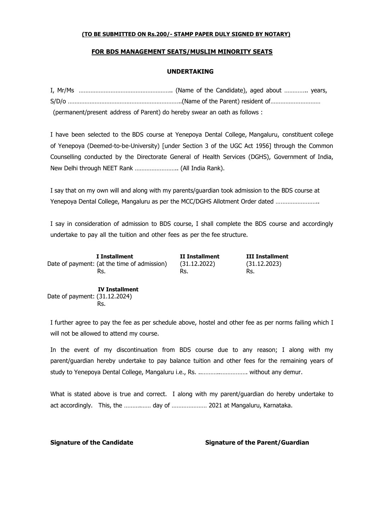# **FOR BDS MANAGEMENT SEATS/MUSLIM MINORITY SEATS**

# **UNDERTAKING**

| (permanent/present address of Parent) do hereby swear an oath as follows : |
|----------------------------------------------------------------------------|

I have been selected to the BDS course at Yenepoya Dental College, Mangaluru, constituent college of Yenepoya (Deemed-to-be-University) [under Section 3 of the UGC Act 1956] through the Common Counselling conducted by the Directorate General of Health Services (DGHS), Government of India, New Delhi through NEET Rank …………………….. (All India Rank).

I say that on my own will and along with my parents/guardian took admission to the BDS course at Yenepoya Dental College, Mangaluru as per the MCC/DGHS Allotment Order dated ……………………..

I say in consideration of admission to BDS course, I shall complete the BDS course and accordingly undertake to pay all the tuition and other fees as per the fee structure.

 **I Installment II Installment III Installment** Date of payment: (at the time of admission) (31.12.2022) (31.12.2023) Rs. Rs. Rs. Rs. Rs. Rs.

 **IV Installment** Date of payment: (31.12.2024) Rs.

I further agree to pay the fee as per schedule above, hostel and other fee as per norms failing which I will not be allowed to attend my course.

In the event of my discontinuation from BDS course due to any reason; I along with my parent/guardian hereby undertake to pay balance tuition and other fees for the remaining years of study to Yenepoya Dental College, Mangaluru i.e., Rs. ..………..……………. without any demur.

What is stated above is true and correct. I along with my parent/guardian do hereby undertake to act accordingly. This, the ……….…… day of ………………… 2021 at Mangaluru, Karnataka.